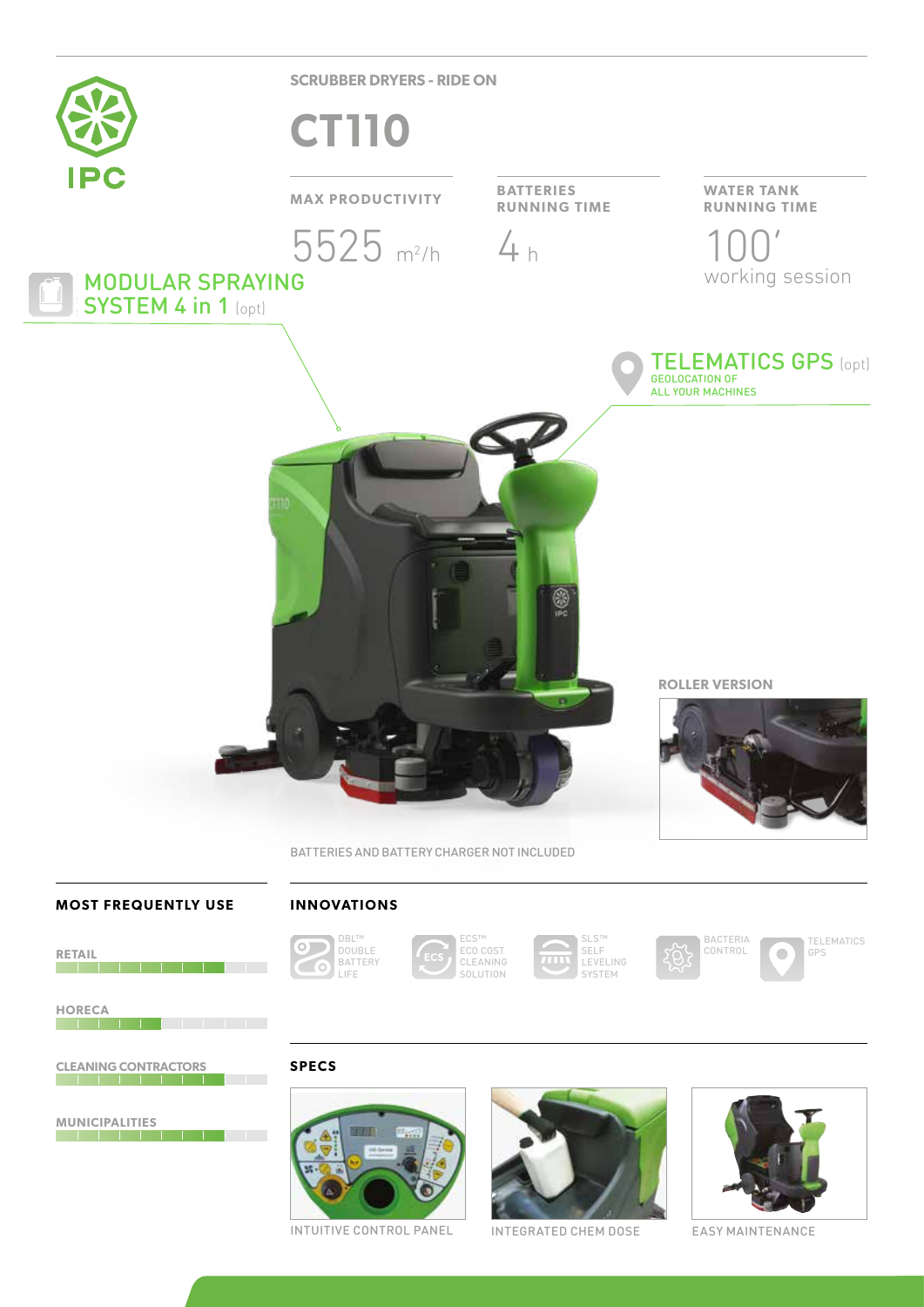

SYSTEM 4 in 1 (opt)

**SCRUBBER DRYERS - RIDE ON**

# **CT110**

## **MAX PRODUCTIVITY BATTERIES**



**RUNNING TIME**

8

### **WATER TANK RUNNING TIME**

 $4 h$  100' working session



**ROLLER VERSION**



**MOST FREQUENTLY USE**

**RETAIL**

### **INNOVATIONS**



**SPECS**

ECS™ ECO COST CLEANING SOLUTION

BATTERIES AND BATTERY CHARGER NOT INCLUDED

SLS™ SELF **LEVELING** SYSTEM

BACTERIA CONTROL



**HORECA**

**CLEANING CONTRACTORS**

**MUNICIPALITIES**



INTUITIVE CONTROL PANEL INTEGRATED CHEM DOSE EASY MAINTENANCE